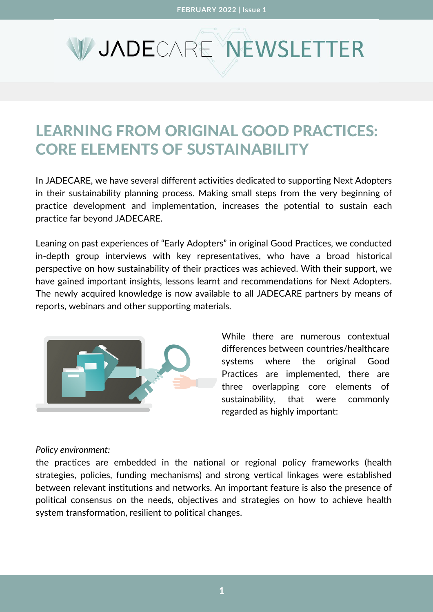# V JADECARE NEWSLETTER

## LEARNING FROM ORIGINAL GOOD PRACTICES: CORE ELEMENTS OF SUSTAINABILITY

In JADECARE, we have several different activities dedicated to supporting Next [Adopters](https://www.jadecare.eu/structure/next-adopters/) in their sustainability planning process. Making small steps from the very beginning of practice development and implementation, increases the potential to sustain each practice far beyond JADECARE.

Leaning on past experiences of "Early [Adopters"](https://www.jadecare.eu/structure/transfer-good-practices/) in original Good Practices, we conducted in-depth group interviews with key representatives, who have a broad historical perspective on how sustainability of their practices was achieved. With their support, we have gained important insights, lessons learnt and recommendations for Next Adopters. The newly acquired knowledge is now available to all [JADECARE](https://www.jadecare.eu/about/consortium/) partners by means of reports, webinars and other supporting materials.



While there are numerous contextual differences between countries/healthcare systems where the original Good Practices are implemented, there are three overlapping core elements of sustainability, that were commonly regarded as highly important:

### *Policy environment:*

the practices are embedded in the national or regional policy frameworks (health strategies, policies, funding mechanisms) and strong vertical linkages were established between relevant institutions and networks. An important feature is also the presence of political consensus on the needs, objectives and strategies on how to achieve health system transformation, resilient to political changes.